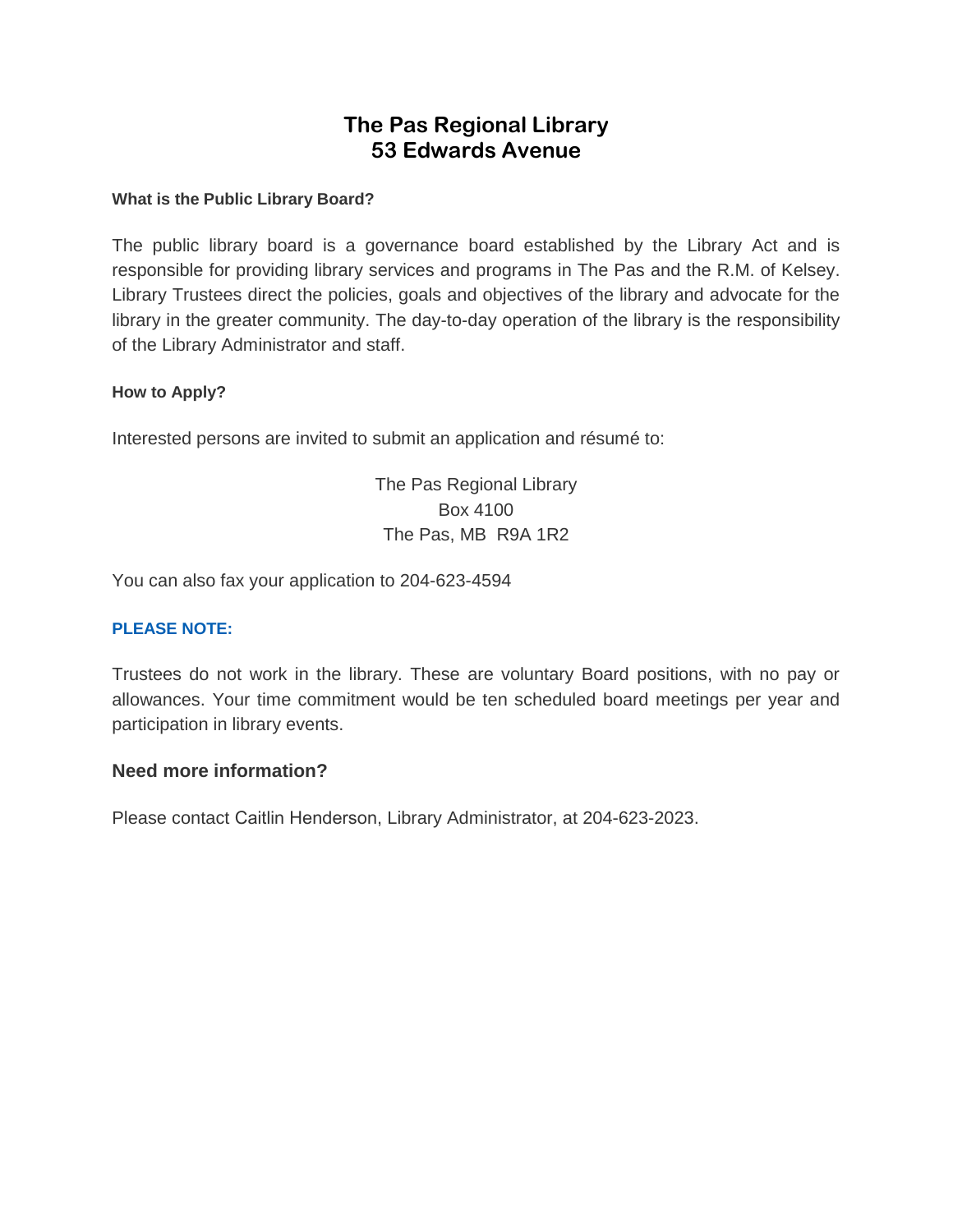# **The Pas Regional Library 53 Edwards Avenue**

#### **What is the Public Library Board?**

The public library board is a governance board established by the Library Act and is responsible for providing library services and programs in The Pas and the R.M. of Kelsey. Library Trustees direct the policies, goals and objectives of the library and advocate for the library in the greater community. The day-to-day operation of the library is the responsibility of the Library Administrator and staff.

#### **How to Apply?**

Interested persons are invited to submit an application and résumé to:

The Pas Regional Library Box 4100 The Pas, MB R9A 1R2

You can also fax your application to 204-623-4594

#### **PLEASE NOTE:**

Trustees do not work in the library. These are voluntary Board positions, with no pay or allowances. Your time commitment would be ten scheduled board meetings per year and participation in library events.

#### **Need more information?**

Please contact Caitlin Henderson, Library Administrator, at 204-623-2023.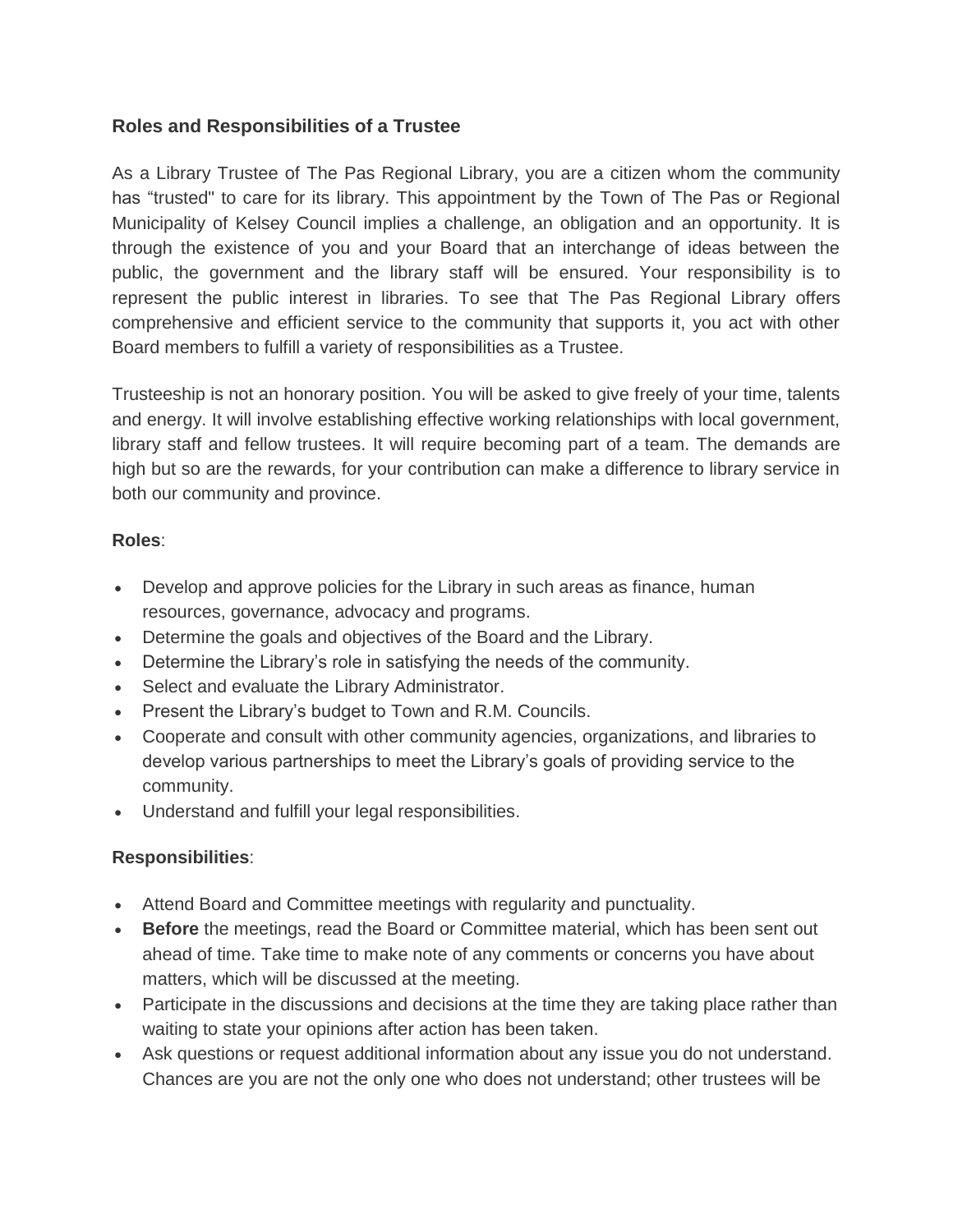## **Roles and Responsibilities of a Trustee**

As a Library Trustee of The Pas Regional Library, you are a citizen whom the community has "trusted" to care for its library. This appointment by the Town of The Pas or Regional Municipality of Kelsey Council implies a challenge, an obligation and an opportunity. It is through the existence of you and your Board that an interchange of ideas between the public, the government and the library staff will be ensured. Your responsibility is to represent the public interest in libraries. To see that The Pas Regional Library offers comprehensive and efficient service to the community that supports it, you act with other Board members to fulfill a variety of responsibilities as a Trustee.

Trusteeship is not an honorary position. You will be asked to give freely of your time, talents and energy. It will involve establishing effective working relationships with local government, library staff and fellow trustees. It will require becoming part of a team. The demands are high but so are the rewards, for your contribution can make a difference to library service in both our community and province.

### **Roles**:

- Develop and approve policies for the Library in such areas as finance, human resources, governance, advocacy and programs.
- Determine the goals and objectives of the Board and the Library.
- Determine the Library's role in satisfying the needs of the community.
- Select and evaluate the Library Administrator.
- Present the Library's budget to Town and R.M. Councils.
- Cooperate and consult with other community agencies, organizations, and libraries to develop various partnerships to meet the Library's goals of providing service to the community.
- Understand and fulfill your legal responsibilities.

## **Responsibilities**:

- Attend Board and Committee meetings with regularity and punctuality.
- **Before** the meetings, read the Board or Committee material, which has been sent out ahead of time. Take time to make note of any comments or concerns you have about matters, which will be discussed at the meeting.
- Participate in the discussions and decisions at the time they are taking place rather than waiting to state your opinions after action has been taken.
- Ask questions or request additional information about any issue you do not understand. Chances are you are not the only one who does not understand; other trustees will be